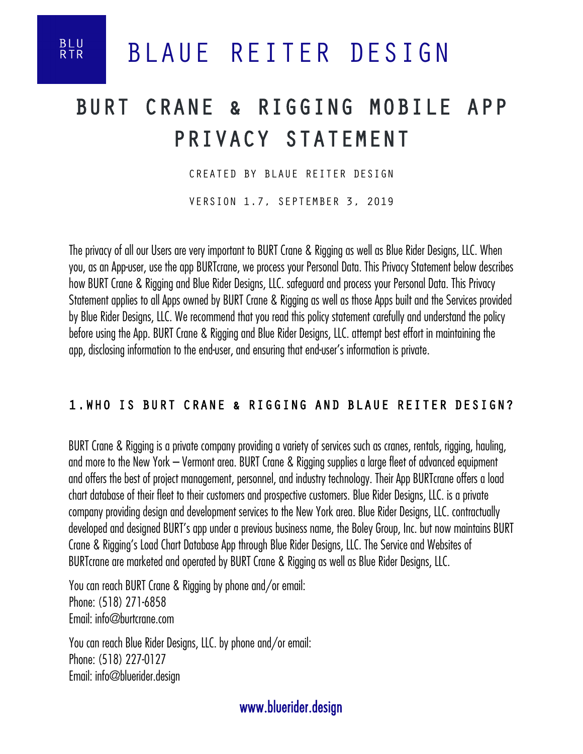**BLU**<br>RTR

## BURT CRANE & RIGGING MOBILE APP PRIVACY STATEMENT

CREATED BY BLAUE REITER DESIGN

VERSION 1.7, SEPTEMBER 3, 2019

The privacy of all our Users are very important to BURT Crane & Rigging as well as Blue Rider Designs, LLC. When you, as an App-user, use the app BURTcrane, we process your Personal Data. This Privacy Statement below describes how BURT Crane & Rigging and Blue Rider Designs, LLC. safeguard and process your Personal Data. This Privacy Statement applies to all Apps owned by BURT Crane & Rigging as well as those Apps built and the Services provided by Blue Rider Designs, LLC. We recommend that you read this policy statement carefully and understand the policy before using the App. BURT Crane & Rigging and Blue Rider Designs, LLC. attempt best effort in maintaining the app, disclosing information to the end-user, and ensuring that end-user's information is private.

#### 1.WHO IS BURT CRANE & RIGGING AND BLAUE REITER DESIGN?

BURT Crane & Rigging is a private company providing a variety of services such as cranes, rentals, rigging, hauling, and more to the New York – Vermont area. BURT Crane & Rigging supplies a large fleet of advanced equipment and offers the best of project management, personnel, and industry technology. Their App BURTcrane offers a load chart database of their fleet to their customers and prospective customers. Blue Rider Designs, LLC. is a private company providing design and development services to the New York area. Blue Rider Designs, LLC. contractually developed and designed BURT's app under a previous business name, the Boley Group, Inc. but now maintains BURT Crane & Rigging's Load Chart Database App through Blue Rider Designs, LLC. The Service and Websites of BURTcrane are marketed and operated by BURT Crane & Rigging as well as Blue Rider Designs, LLC.

You can reach BURT Crane & Rigging by phone and/or email: Phone: (518) 271-6858 Email: info@burtcrane.com

You can reach Blue Rider Designs, LLC. by phone and/or email: Phone: (518) 227-0127 Email: info@bluerider.design

www.bluerider.design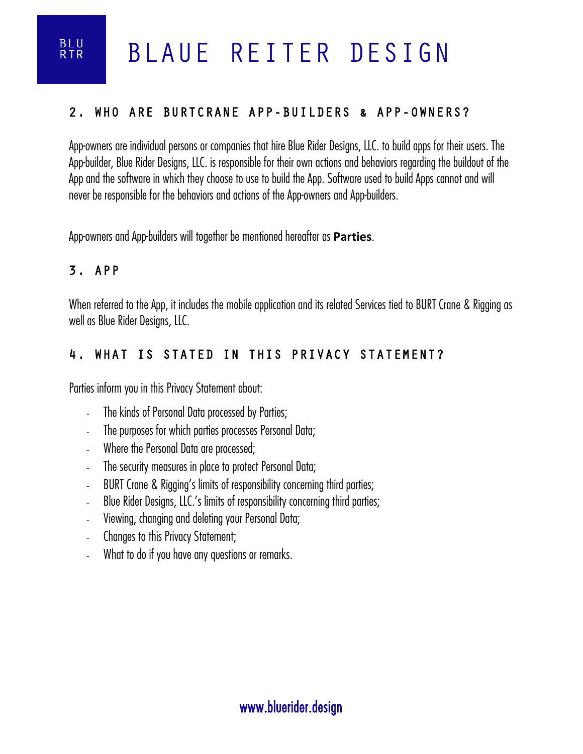#### 2. WHO ARE BURTCRANE APP-BUILDERS & APP-OWNERS?

App-owners are individual persons or companies that hire Blue Rider Designs, LLC. to build apps for their users. The App-builder, Blue Rider Designs, LLC. is responsible for their own actions and behaviors regarding the buildout of the App and the software in which they choose to use to build the App. Software used to build Apps cannot and will never be responsible for the behaviors and actions of the App-owners and App-builders.

App-owners and App-builders will together be mentioned hereafter as **Parties**.

#### 3. APP

**BLU**<br>RTR

When referred to the App, it includes the mobile application and its related Services tied to BURT Crane & Rigging as well as Blue Rider Designs, LLC.

#### 4. WHAT IS STATED IN THIS PRIVACY STATEMENT?

Parties inform you in this Privacy Statement about:

- The kinds of Personal Data processed by Parties;
- The purposes for which parties processes Personal Data;
- Where the Personal Data are processed;
- The security measures in place to protect Personal Data;
- BURT Crane & Rigging's limits of responsibility concerning third parties;
- Blue Rider Designs, LLC.'s limits of responsibility concerning third parties;
- Viewing, changing and deleting your Personal Data;
- Changes to this Privacy Statement;
- What to do if you have any questions or remarks.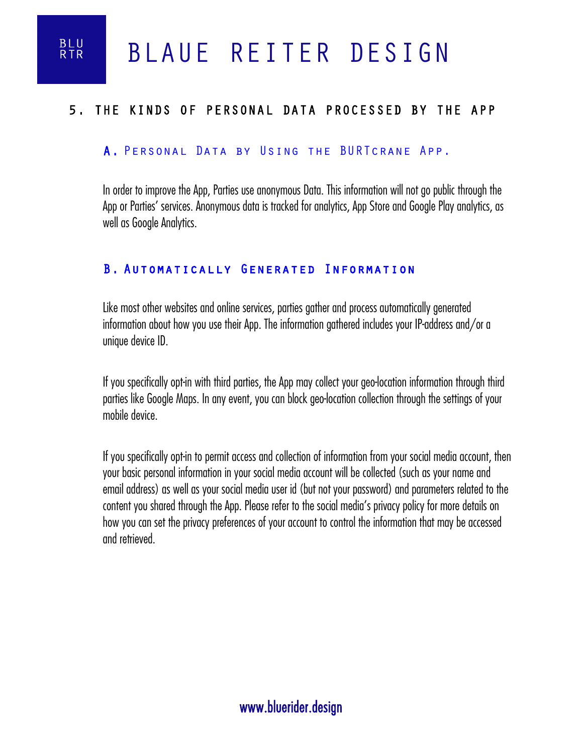**BLU**<br>RTR

#### 5. THE KINDS OF PERSONAL DATA PROCESSED BY THE APP

#### A. Personal Data by Using the BURTcrane App.

In order to improve the App, Parties use anonymous Data. This information will not go public through the App or Parties' services. Anonymous data is tracked for analytics, App Store and Google Play analytics, as well as Google Analytics.

#### B. Automatically Generated Information

Like most other websites and online services, parties gather and process automatically generated information about how you use their App. The information gathered includes your IP-address and/or a unique device ID.

If you specifically opt-in with third parties, the App may collect your geo-location information through third parties like Google Maps. In any event, you can block geo-location collection through the settings of your mobile device.

If you specifically opt-in to permit access and collection of information from your social media account, then your basic personal information in your social media account will be collected (such as your name and email address) as well as your social media user id (but not your password) and parameters related to the content you shared through the App. Please refer to the social media's privacy policy for more details on how you can set the privacy preferences of your account to control the information that may be accessed and retrieved.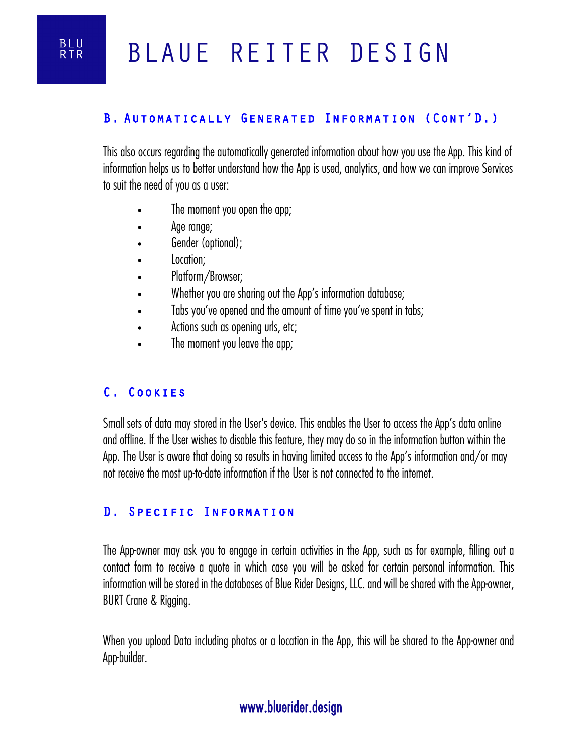#### B. Automatically Generated Information (Cont'D.)

This also occurs regarding the automatically generated information about how you use the App. This kind of information helps us to better understand how the App is used, analytics, and how we can improve Services to suit the need of you as a user:

- The moment you open the app;
- Age range;
- Gender (optional);
- Location;
- Platform/Browser;
- Whether you are sharing out the App's information database;
- Tabs you've opened and the amount of time you've spent in tabs;
- Actions such as opening urls, etc;
- The moment you leave the app;

#### C. Cookies

Small sets of data may stored in the User's device. This enables the User to access the App's data online and offline. If the User wishes to disable this feature, they may do so in the information button within the App. The User is aware that doing so results in having limited access to the App's information and/or may not receive the most up-to-date information if the User is not connected to the internet.

#### D. Specific Information

The App-owner may ask you to engage in certain activities in the App, such as for example, filling out a contact form to receive a quote in which case you will be asked for certain personal information. This information will be stored in the databases of Blue Rider Designs, LLC. and will be shared with the App-owner, BURT Crane & Rigging.

When you upload Data including photos or a location in the App, this will be shared to the App-owner and App-builder.

## www.bluerider.design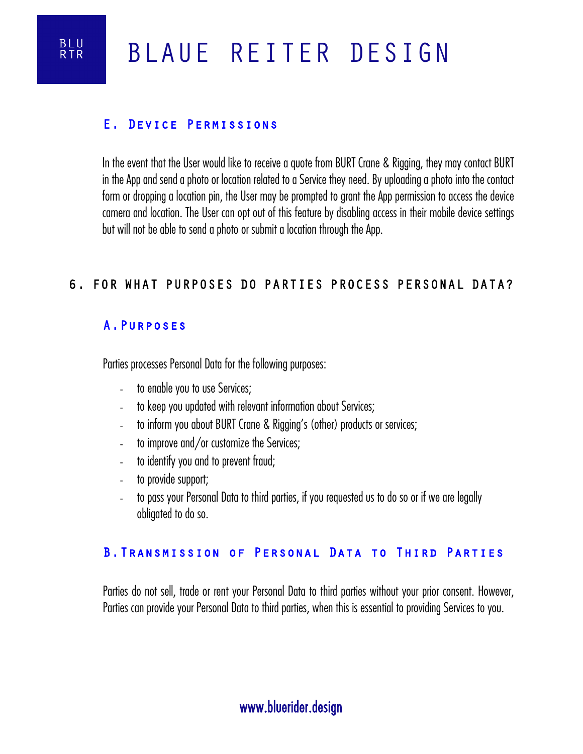

#### E. Device Permissions

In the event that the User would like to receive a quote from BURT Crane & Rigging, they may contact BURT in the App and send a photo or location related to a Service they need. By uploading a photo into the contact form or dropping a location pin, the User may be prompted to grant the App permission to access the device camera and location. The User can opt out of this feature by disabling access in their mobile device settings but will not be able to send a photo or submit a location through the App.

#### 6. FOR WHAT PURPOSES DO PARTIES PROCESS PERSONAL DATA?

#### A.Purposes

Parties processes Personal Data for the following purposes:

- to enable you to use Services;
- to keep you updated with relevant information about Services;
- to inform you about BURT Crane & Rigging's (other) products or services;
- to improve and/or customize the Services;
- to identify you and to prevent fraud;
- to provide support;
- to pass your Personal Data to third parties, if you requested us to do so or if we are legally obligated to do so.

#### B.Transmission of Personal Data to Third Parties

Parties do not sell, trade or rent your Personal Data to third parties without your prior consent. However, Parties can provide your Personal Data to third parties, when this is essential to providing Services to you.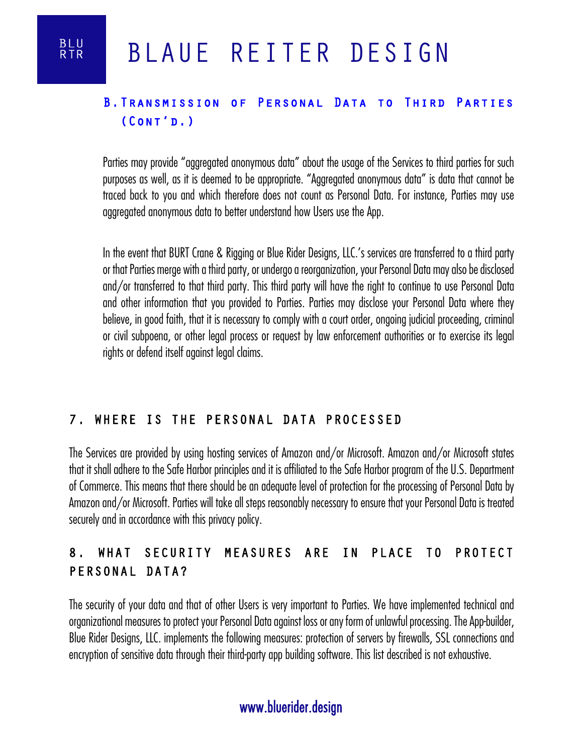### B. TRANSMISSION OF PERSONAL DATA TO THIRD PARTIES (Cont'd.)

Parties may provide "aggregated anonymous data" about the usage of the Services to third parties for such purposes as well, as it is deemed to be appropriate. "Aggregated anonymous data" is data that cannot be traced back to you and which therefore does not count as Personal Data. For instance, Parties may use aggregated anonymous data to better understand how Users use the App.

In the event that BURT Crane & Rigging or Blue Rider Designs, LLC.'s services are transferred to a third party or that Parties merge with a third party, or undergo a reorganization, your Personal Data may also be disclosed and/or transferred to that third party. This third party will have the right to continue to use Personal Data and other information that you provided to Parties. Parties may disclose your Personal Data where they believe, in good faith, that it is necessary to comply with a court order, ongoing judicial proceeding, criminal or civil subpoena, or other legal process or request by law enforcement authorities or to exercise its legal rights or defend itself against legal claims.

#### 7. WHERE IS THE PERSONAL DATA PROCESSED

The Services are provided by using hosting services of Amazon and/or Microsoft. Amazon and/or Microsoft states that it shall adhere to the Safe Harbor principles and it is affiliated to the Safe Harbor program of the U.S. Department of Commerce. This means that there should be an adequate level of protection for the processing of Personal Data by Amazon and/or Microsoft. Parties will take all steps reasonably necessary to ensure that your Personal Data is treated securely and in accordance with this privacy policy.

## 8. WHAT SECURITY MEASURES ARE IN PLACE TO PROTECT PERSONAL DATA?

The security of your data and that of other Users is very important to Parties. We have implemented technical and organizational measures to protect your Personal Data against loss or any form of unlawful processing. The App-builder, Blue Rider Designs, LLC. implements the following measures: protection of servers by firewalls, SSL connections and encryption of sensitive data through their third-party app building software. This list described is not exhaustive.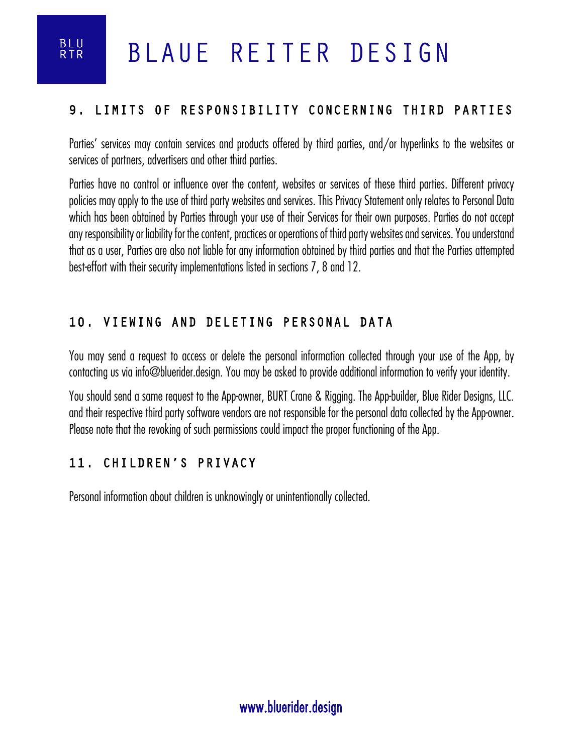

#### 9. LIMITS OF RESPONSIBILITY CONCERNING THIRD PARTIES

Parties' services may contain services and products offered by third parties, and/or hyperlinks to the websites or services of partners, advertisers and other third parties.

Parties have no control or influence over the content, websites or services of these third parties. Different privacy policies may apply to the use of third party websites and services. This Privacy Statement only relates to Personal Data which has been obtained by Parties through your use of their Services for their own purposes. Parties do not accept any responsibility or liability for the content, practices or operations of third party websites and services. You understand that as a user, Parties are also not liable for any information obtained by third parties and that the Parties attempted best-effort with their security implementations listed in sections 7, 8 and 12.

#### 10. VIEWING AND DELETING PERSONAL DATA

You may send a request to access or delete the personal information collected through your use of the App, by contacting us via info@bluerider.design. You may be asked to provide additional information to verify your identity.

You should send a same request to the App-owner, BURT Crane & Rigging. The App-builder, Blue Rider Designs, LLC. and their respective third party software vendors are not responsible for the personal data collected by the App-owner. Please note that the revoking of such permissions could impact the proper functioning of the App.

#### 11. CHILDREN'S PRIVACY

Personal information about children is unknowingly or unintentionally collected.